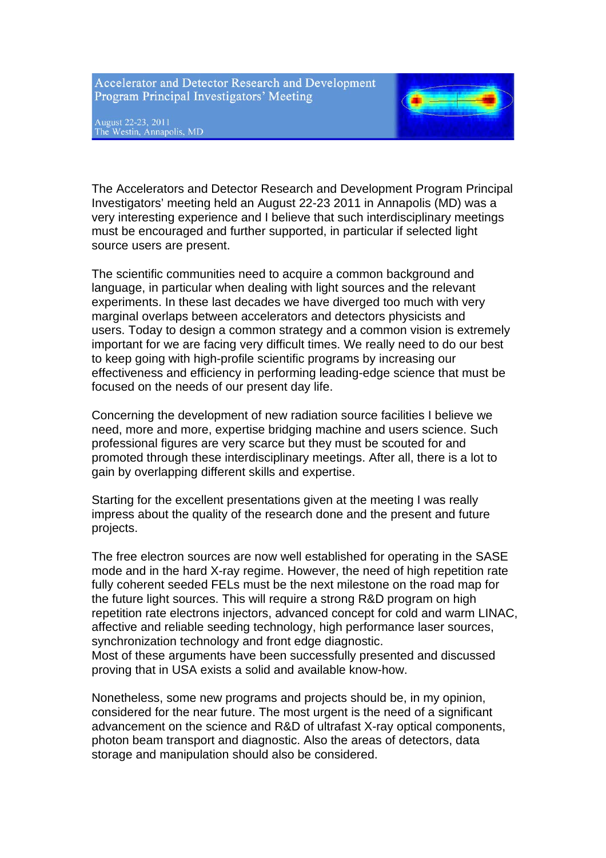**Accelerator and Detector Research and Development** Program Principal Investigators' Meeting

August 22-23, 2011<br>The Westin, Annapolis, MD



The Accelerators and Detector Research and Development Program Principal Investigators' meeting held an August 22-23 2011 in Annapolis (MD) was a very interesting experience and I believe that such interdisciplinary meetings must be encouraged and further supported, in particular if selected light source users are present.

The scientific communities need to acquire a common background and language, in particular when dealing with light sources and the relevant experiments. In these last decades we have diverged too much with very marginal overlaps between accelerators and detectors physicists and users. Today to design a common strategy and a common vision is extremely important for we are facing very difficult times. We really need to do our best to keep going with high-profile scientific programs by increasing our effectiveness and efficiency in performing leading-edge science that must be focused on the needs of our present day life.

Concerning the development of new radiation source facilities I believe we need, more and more, expertise bridging machine and users science. Such professional figures are very scarce but they must be scouted for and promoted through these interdisciplinary meetings. After all, there is a lot to gain by overlapping different skills and expertise.

Starting for the excellent presentations given at the meeting I was really impress about the quality of the research done and the present and future projects.

The free electron sources are now well established for operating in the SASE mode and in the hard X-ray regime. However, the need of high repetition rate fully coherent seeded FELs must be the next milestone on the road map for the future light sources. This will require a strong R&D program on high repetition rate electrons injectors, advanced concept for cold and warm LINAC, affective and reliable seeding technology, high performance laser sources, synchronization technology and front edge diagnostic.

Most of these arguments have been successfully presented and discussed proving that in USA exists a solid and available know-how.

Nonetheless, some new programs and projects should be, in my opinion, considered for the near future. The most urgent is the need of a significant advancement on the science and R&D of ultrafast X-ray optical components, photon beam transport and diagnostic. Also the areas of detectors, data storage and manipulation should also be considered.